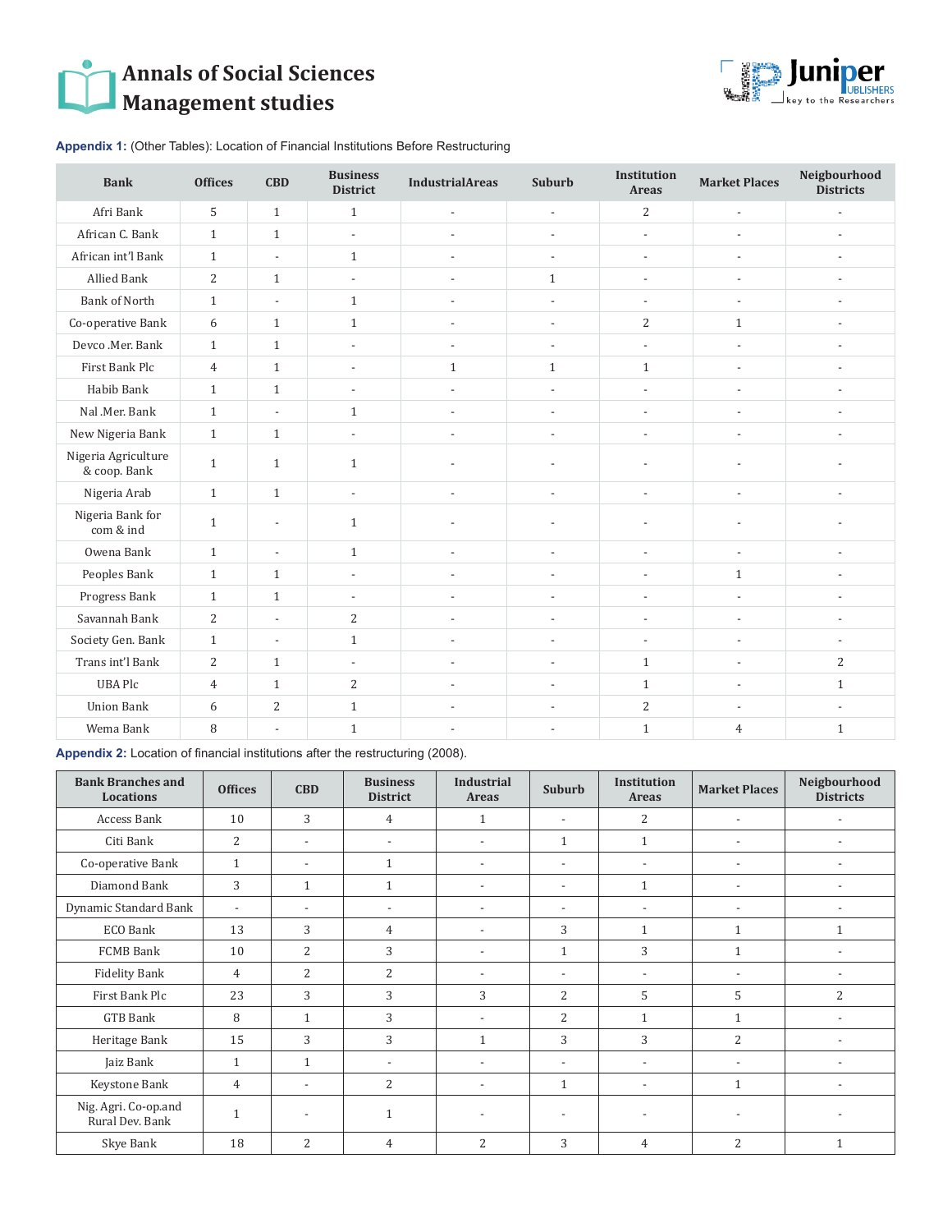## **Annals of Social Sciences Management studies**



**Appendix 1:** (Other Tables): Location of Financial Institutions Before Restructuring

| <b>Bank</b>                         | <b>Offices</b> | <b>CBD</b>               | <b>Business</b><br><b>District</b> | <b>IndustrialAreas</b>   | Suburb                   | <b>Institution</b><br><b>Areas</b> | <b>Market Places</b>     | Neigbourhood<br><b>Districts</b> |
|-------------------------------------|----------------|--------------------------|------------------------------------|--------------------------|--------------------------|------------------------------------|--------------------------|----------------------------------|
| Afri Bank                           | 5              | $\mathbf{1}$             | $1\,$                              | $\overline{\phantom{a}}$ | $\overline{\phantom{a}}$ | $\overline{c}$                     | $\overline{\phantom{a}}$ | $\overline{\phantom{a}}$         |
| African C. Bank                     | $\mathbf{1}$   | $\mathbf{1}$             | $\overline{\phantom{a}}$           | $\overline{a}$           | $\overline{\phantom{a}}$ | $\overline{\phantom{a}}$           | $\overline{a}$           |                                  |
| African int'l Bank                  | $\mathbf{1}$   | $\overline{\phantom{a}}$ | $\mathbf{1}$                       | $\overline{\phantom{a}}$ | $\overline{\phantom{a}}$ | $\overline{\phantom{a}}$           | $\overline{a}$           |                                  |
| <b>Allied Bank</b>                  | $\overline{c}$ | $\mathbf{1}$             | $\overline{a}$                     | $\overline{a}$           | $\mathbf{1}$             | $\overline{a}$                     | $\overline{a}$           |                                  |
| <b>Bank of North</b>                | $\mathbf{1}$   | $\overline{\phantom{a}}$ | $\mathbf{1}$                       | $\overline{\phantom{a}}$ | $\overline{\phantom{a}}$ | ÷,                                 | $\overline{a}$           |                                  |
| Co-operative Bank                   | 6              | $\mathbf{1}$             | $\mathbf{1}$                       | $\overline{\phantom{a}}$ | $\overline{\phantom{a}}$ | $\overline{2}$                     | $\mathbf{1}$             | $\overline{a}$                   |
| Devco .Mer. Bank                    | $\mathbf{1}$   | $\mathbf{1}$             | $\overline{\phantom{a}}$           | $\overline{\phantom{a}}$ | $\overline{\phantom{a}}$ | $\overline{\phantom{a}}$           | $\overline{\phantom{a}}$ | $\overline{a}$                   |
| First Bank Plc                      | $\overline{4}$ | $\mathbf{1}$             | $\overline{\phantom{a}}$           | $\mathbf{1}$             | $\mathbf{1}$             | $\mathbf{1}$                       | $\overline{\phantom{a}}$ | $\overline{a}$                   |
| Habib Bank                          | $\mathbf{1}$   | $\mathbf{1}$             | $\overline{\phantom{a}}$           | $\overline{\phantom{a}}$ | $\overline{\phantom{a}}$ | $\overline{\phantom{a}}$           | $\overline{\phantom{a}}$ | $\overline{a}$                   |
| Nal .Mer. Bank                      | $\mathbf{1}$   | $\overline{\phantom{a}}$ | $\mathbf{1}$                       | $\overline{a}$           | $\overline{\phantom{a}}$ | $\overline{\phantom{a}}$           | $\overline{\phantom{a}}$ | $\overline{a}$                   |
| New Nigeria Bank                    | $\mathbf{1}$   | $\mathbf{1}$             | $\overline{\phantom{a}}$           | $\overline{\phantom{a}}$ | $\overline{a}$           | $\overline{a}$                     | $\overline{a}$           |                                  |
| Nigeria Agriculture<br>& coop. Bank | $\mathbf{1}$   | $\mathbf{1}$             | $\mathbf{1}$                       | $\overline{a}$           | $\overline{\phantom{a}}$ | $\overline{a}$                     | $\overline{a}$           |                                  |
| Nigeria Arab                        | $\mathbf{1}$   | $\mathbf{1}$             | $\overline{\phantom{a}}$           | $\overline{a}$           | $\overline{a}$           | ÷,                                 | $\overline{a}$           | $\overline{a}$                   |
| Nigeria Bank for<br>com & ind       | $\mathbf{1}$   | $\overline{\phantom{a}}$ | $\mathbf{1}$                       | $\overline{a}$           | $\overline{\phantom{a}}$ | $\overline{a}$                     | $\overline{a}$           |                                  |
| Owena Bank                          | $\mathbf{1}$   | $\overline{\phantom{a}}$ | $\mathbf{1}$                       | $\overline{\phantom{a}}$ | $\overline{\phantom{a}}$ | $\overline{\phantom{a}}$           | $\overline{\phantom{a}}$ | $\overline{a}$                   |
| Peoples Bank                        | $\mathbf{1}$   | $\mathbf{1}$             | $\overline{\phantom{a}}$           | $\overline{\phantom{a}}$ | $\overline{\phantom{a}}$ | $\overline{\phantom{a}}$           | $\mathbf{1}$             |                                  |
| Progress Bank                       | $\mathbf{1}$   | $\mathbf{1}$             | $\overline{\phantom{a}}$           | $\overline{\phantom{a}}$ | $\overline{\phantom{a}}$ | $\overline{\phantom{a}}$           | $\overline{\phantom{a}}$ | $\overline{a}$                   |
| Savannah Bank                       | $\overline{c}$ | $\overline{a}$           | $\overline{2}$                     | $\overline{\phantom{a}}$ | $\overline{\phantom{a}}$ | $\overline{\phantom{a}}$           | $\overline{a}$           |                                  |
| Society Gen. Bank                   | $\mathbf{1}$   | $\overline{\phantom{a}}$ | $\mathbf{1}$                       | $\overline{a}$           | $\overline{\phantom{a}}$ | $\overline{\phantom{a}}$           | $\overline{a}$           |                                  |
| Trans int'l Bank                    | $\overline{2}$ | $\mathbf{1}$             | $\overline{\phantom{a}}$           | $\overline{\phantom{a}}$ | $\overline{\phantom{a}}$ | $\mathbf{1}$                       | $\overline{\phantom{a}}$ | $\overline{2}$                   |
| <b>UBA Plc</b>                      | $\overline{4}$ | $\mathbf{1}$             | $\overline{2}$                     | $\overline{\phantom{a}}$ | $\overline{\phantom{a}}$ | $\mathbf{1}$                       | $\overline{a}$           | $\mathbf{1}$                     |
| <b>Union Bank</b>                   | 6              | $\overline{2}$           | $\mathbf{1}$                       | $\overline{\phantom{a}}$ | $\overline{\phantom{a}}$ | $\overline{2}$                     | $\overline{\phantom{a}}$ |                                  |
| Wema Bank                           | 8              | $\overline{\phantom{a}}$ | $\mathbf{1}$                       | $\overline{\phantom{a}}$ | $\overline{\phantom{a}}$ | $\mathbf{1}$                       | $\overline{4}$           | $\mathbf{1}$                     |

**Appendix 2:** Location of financial institutions after the restructuring (2008).

| <b>Bank Branches and</b><br><b>Locations</b> | <b>Offices</b>           | <b>CBD</b>               | <b>Business</b><br><b>District</b> | <b>Industrial</b><br>Areas | Suburb                   | <b>Institution</b><br>Areas | <b>Market Places</b>     | Neigbourhood<br><b>Districts</b> |
|----------------------------------------------|--------------------------|--------------------------|------------------------------------|----------------------------|--------------------------|-----------------------------|--------------------------|----------------------------------|
| Access Bank                                  | 10                       | 3                        | 4                                  | 1                          | $\overline{\phantom{a}}$ | 2                           | $\overline{\phantom{a}}$ |                                  |
| Citi Bank                                    | 2                        | $\overline{\phantom{a}}$ | $\overline{\phantom{a}}$           | $\overline{\phantom{a}}$   | $\mathbf{1}$             | $\mathbf{1}$                | $\overline{\phantom{a}}$ | $\overline{\phantom{a}}$         |
| Co-operative Bank                            | $\mathbf{1}$             | $\overline{\phantom{a}}$ | 1                                  | $\overline{a}$             | $\overline{\phantom{a}}$ | $\overline{\phantom{a}}$    | $\overline{\phantom{a}}$ | $\overline{\phantom{a}}$         |
| Diamond Bank                                 | 3                        | $\mathbf{1}$             | 1                                  | $\overline{\phantom{0}}$   | $\overline{\phantom{a}}$ | $\mathbf{1}$                | $\overline{\phantom{a}}$ | $\overline{\phantom{a}}$         |
| Dynamic Standard Bank                        | $\overline{\phantom{a}}$ | $\overline{\phantom{a}}$ | $\overline{\phantom{a}}$           | $\overline{\phantom{0}}$   | $\overline{\phantom{a}}$ | $\overline{\phantom{a}}$    | $\overline{\phantom{a}}$ |                                  |
| ECO Bank                                     | 13                       | 3                        | $\overline{4}$                     | $\overline{\phantom{0}}$   | 3                        | $\mathbf{1}$                | 1                        | $\mathbf{1}$                     |
| FCMB Bank                                    | 10                       | $\overline{2}$           | 3                                  | $\overline{\phantom{0}}$   | $\mathbf{1}$             | 3                           | 1                        |                                  |
| Fidelity Bank                                | 4                        | $\overline{2}$           | 2                                  | $\overline{a}$             | $\overline{\phantom{a}}$ | $\overline{\phantom{a}}$    | $\overline{\phantom{a}}$ |                                  |
| First Bank Plc                               | 23                       | 3                        | 3                                  | 3                          | $\overline{2}$           | 5                           | 5                        | $\overline{2}$                   |
| GTB Bank                                     | 8                        | $\mathbf{1}$             | 3                                  | $\overline{\phantom{a}}$   | 2                        | $\mathbf{1}$                | $\mathbf{1}$             | $\overline{\phantom{a}}$         |
| Heritage Bank                                | 15                       | 3                        | 3                                  | $\mathbf{1}$               | 3                        | 3                           | $\overline{2}$           | $\overline{\phantom{a}}$         |
| Jaiz Bank                                    | $\mathbf{1}$             | $\mathbf{1}$             | $\overline{a}$                     | $\overline{\phantom{0}}$   | $\overline{\phantom{0}}$ | $\overline{\phantom{a}}$    | $\overline{\phantom{a}}$ |                                  |
| Keystone Bank                                | 4                        | $\overline{\phantom{a}}$ | 2                                  | $\overline{\phantom{a}}$   | 1                        | $\overline{\phantom{a}}$    | 1                        | $\overline{\phantom{a}}$         |
| Nig. Agri. Co-op.and<br>Rural Dev. Bank      | $\mathbf{1}$             | $\overline{\phantom{a}}$ | 1                                  |                            |                          |                             |                          |                                  |
| Skye Bank                                    | 18                       | $\overline{c}$           | $\overline{4}$                     | 2                          | 3                        | 4                           | $\overline{2}$           | $\mathbf{1}$                     |